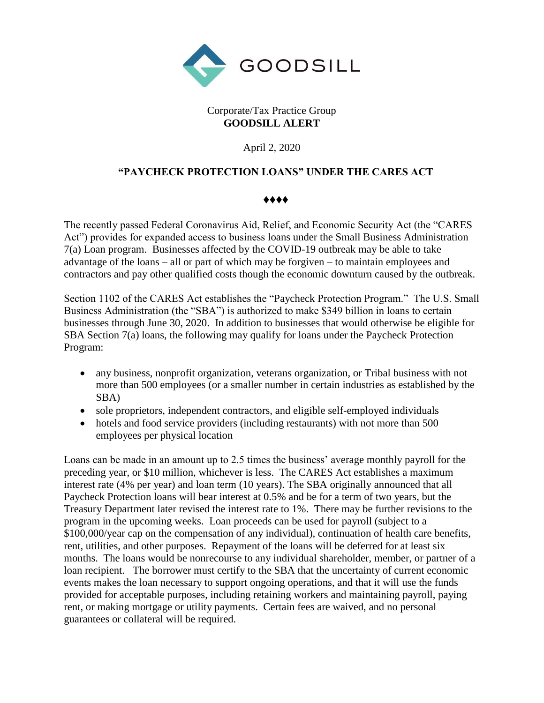

## Corporate/Tax Practice Group **GOODSILL ALERT**

April 2, 2020

## **"PAYCHECK PROTECTION LOANS" UNDER THE CARES ACT**

## ♦♦♦♦

The recently passed Federal Coronavirus Aid, Relief, and Economic Security Act (the "CARES Act") provides for expanded access to business loans under the Small Business Administration 7(a) Loan program. Businesses affected by the COVID-19 outbreak may be able to take advantage of the loans – all or part of which may be forgiven – to maintain employees and contractors and pay other qualified costs though the economic downturn caused by the outbreak.

Section 1102 of the CARES Act establishes the "Paycheck Protection Program." The U.S. Small Business Administration (the "SBA") is authorized to make \$349 billion in loans to certain businesses through June 30, 2020. In addition to businesses that would otherwise be eligible for SBA Section 7(a) loans, the following may qualify for loans under the Paycheck Protection Program:

- any business, nonprofit organization, veterans organization, or Tribal business with not more than 500 employees (or a smaller number in certain industries as established by the SBA)
- sole proprietors, independent contractors, and eligible self-employed individuals
- hotels and food service providers (including restaurants) with not more than 500 employees per physical location

Loans can be made in an amount up to 2.5 times the business' average monthly payroll for the preceding year, or \$10 million, whichever is less. The CARES Act establishes a maximum interest rate (4% per year) and loan term (10 years). The SBA originally announced that all Paycheck Protection loans will bear interest at 0.5% and be for a term of two years, but the Treasury Department later revised the interest rate to 1%. There may be further revisions to the program in the upcoming weeks. Loan proceeds can be used for payroll (subject to a \$100,000/year cap on the compensation of any individual), continuation of health care benefits, rent, utilities, and other purposes. Repayment of the loans will be deferred for at least six months. The loans would be nonrecourse to any individual shareholder, member, or partner of a loan recipient. The borrower must certify to the SBA that the uncertainty of current economic events makes the loan necessary to support ongoing operations, and that it will use the funds provided for acceptable purposes, including retaining workers and maintaining payroll, paying rent, or making mortgage or utility payments. Certain fees are waived, and no personal guarantees or collateral will be required.